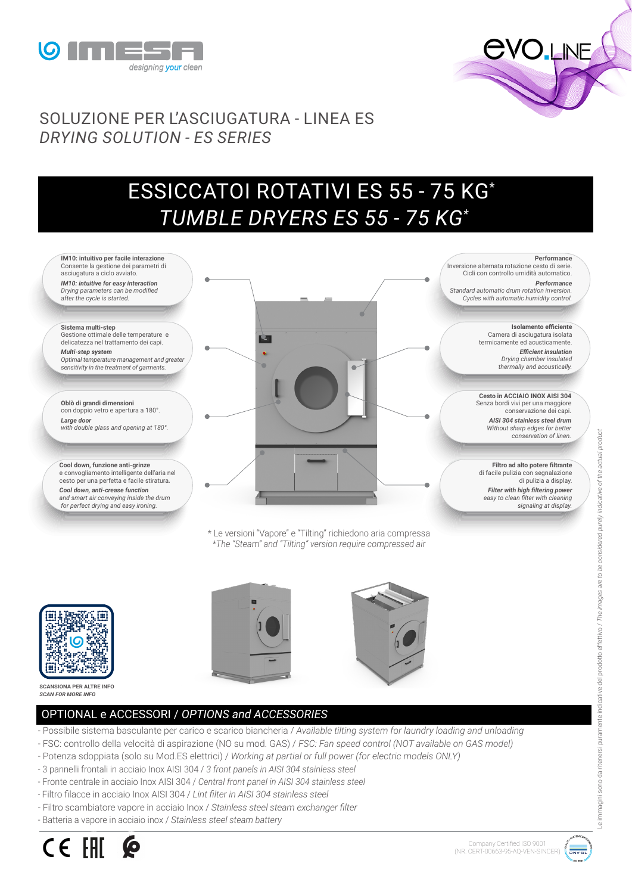



## SOLUZIONE PER L'ASCIUGATURA - LINEA ES *DRYING SOLUTION - ES SERIES*

## ESSICCATOI ROTATIVI ES 55 - 75 KG\*  *TUMBLE DRYERS ES 55 - 75 KG\**





**SCANSIONA PER ALTRE INFO** *SCAN FOR MORE INFO*

## OPTIONAL e ACCESSORI / *OPTIONS and ACCESSORIES*

- Possibile sistema basculante per carico e scarico biancheria / *Available tilting system for laundry loading and unloading*
- FSC: controllo della velocità di aspirazione (NO su mod. GAS) / *FSC: Fan speed control (NOT available on GAS model)*
- Potenza sdoppiata (solo su Mod.ES elettrici) / *Working at partial or full power (for electric models ONLY)*
- 3 pannelli frontali in acciaio Inox AISI 304 / *3 front panels in AISI 304 stainless steel*
- Fronte centrale in acciaio Inox AISI 304 / *Central front panel in AISI 304 stainless steel*
- Filtro filacce in acciaio Inox AISI 304 / *Lint filter in AISI 304 stainless steel*
- Filtro scambiatore vapore in acciaio Inox / *Stainless steel steam exchanger filter*
- Batteria a vapore in acciaio inox / *Stainless steel steam battery*